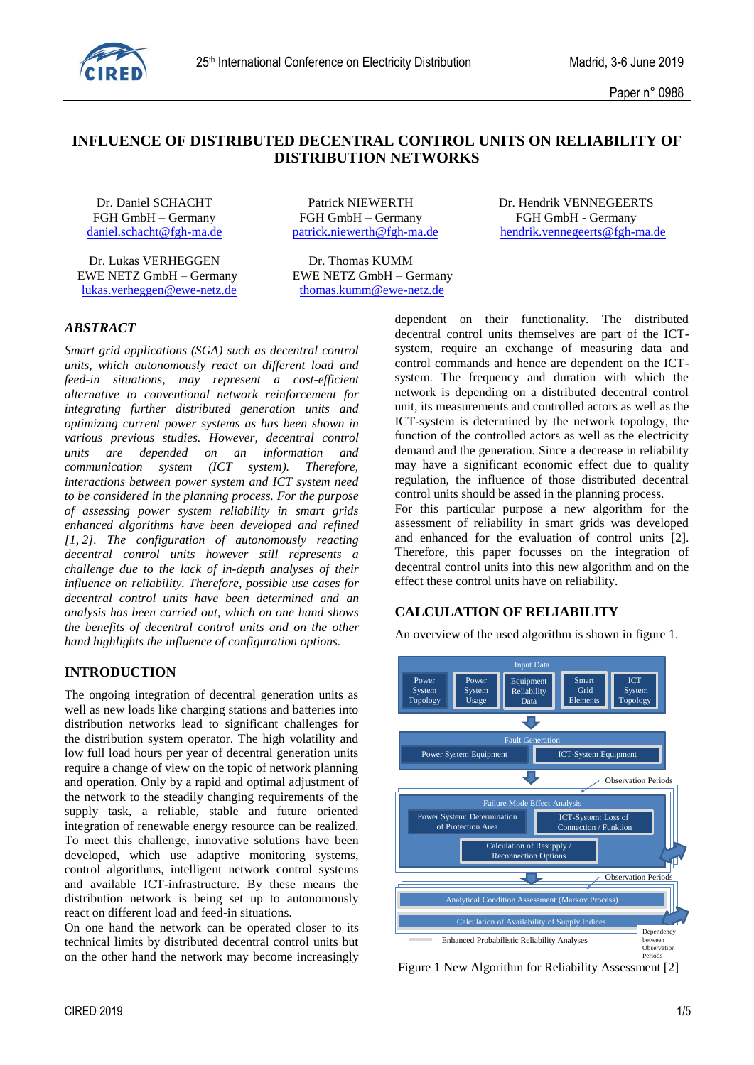

## **INFLUENCE OF DISTRIBUTED DECENTRAL CONTROL UNITS ON RELIABILITY OF DISTRIBUTION NETWORKS**

Dr. Lukas VERHEGGEN Dr. Thomas KUMM EWE NETZ GmbH – Germany EWE NETZ GmbH – Germany [lukas.verheggen@ewe-netz.de](mailto:lukas.verheggen@ewe-netz.de) [thomas.kumm@ewe-netz.de](mailto:thomas.kumm@ewe-netz.de)

FGH GmbH – Germany FGH GmbH – Germany FGH GmbH - Germany

Dr. Daniel SCHACHT Patrick NIEWERTH Dr. Hendrik VENNEGEERTS [daniel.schacht@fgh-ma.de](mailto:daniel.schacht@fgh-ma.de) [patrick.niewerth@fgh-ma.de](mailto:patrick.niewerth@fgh-ma.de) [hendrik.vennegeerts@fgh-ma.de](mailto:hendrik.vennegeerts@fgh-ma.de)

### *ABSTRACT*

*Smart grid applications (SGA) such as decentral control units, which autonomously react on different load and feed-in situations, may represent a cost-efficient alternative to conventional network reinforcement for integrating further distributed generation units and optimizing current power systems as has been shown in various previous studies. However, decentral control units are depended on an information and communication system (ICT system). Therefore, interactions between power system and ICT system need to be considered in the planning process. For the purpose of assessing power system reliability in smart grids enhanced algorithms have been developed and refined [1, 2]. The configuration of autonomously reacting decentral control units however still represents a challenge due to the lack of in-depth analyses of their influence on reliability. Therefore, possible use cases for decentral control units have been determined and an analysis has been carried out, which on one hand shows the benefits of decentral control units and on the other hand highlights the influence of configuration options.*

### **INTRODUCTION**

The ongoing integration of decentral generation units as well as new loads like charging stations and batteries into distribution networks lead to significant challenges for the distribution system operator. The high volatility and low full load hours per year of decentral generation units require a change of view on the topic of network planning and operation. Only by a rapid and optimal adjustment of the network to the steadily changing requirements of the supply task, a reliable, stable and future oriented integration of renewable energy resource can be realized. To meet this challenge, innovative solutions have been developed, which use adaptive monitoring systems, control algorithms, intelligent network control systems and available ICT-infrastructure. By these means the distribution network is being set up to autonomously react on different load and feed-in situations.

On one hand the network can be operated closer to its technical limits by distributed decentral control units but on the other hand the network may become increasingly dependent on their functionality. The distributed decentral control units themselves are part of the ICTsystem, require an exchange of measuring data and control commands and hence are dependent on the ICTsystem. The frequency and duration with which the network is depending on a distributed decentral control unit, its measurements and controlled actors as well as the ICT-system is determined by the network topology, the function of the controlled actors as well as the electricity demand and the generation. Since a decrease in reliability may have a significant economic effect due to quality regulation, the influence of those distributed decentral control units should be assed in the planning process. For this particular purpose a new algorithm for the

assessment of reliability in smart grids was developed and enhanced for the evaluation of control units [2]. Therefore, this paper focusses on the integration of decentral control units into this new algorithm and on the effect these control units have on reliability.

#### **CALCULATION OF RELIABILITY**

An overview of the used algorithm is shown in figure 1.



Figure 1 New Algorithm for Reliability Assessment [2]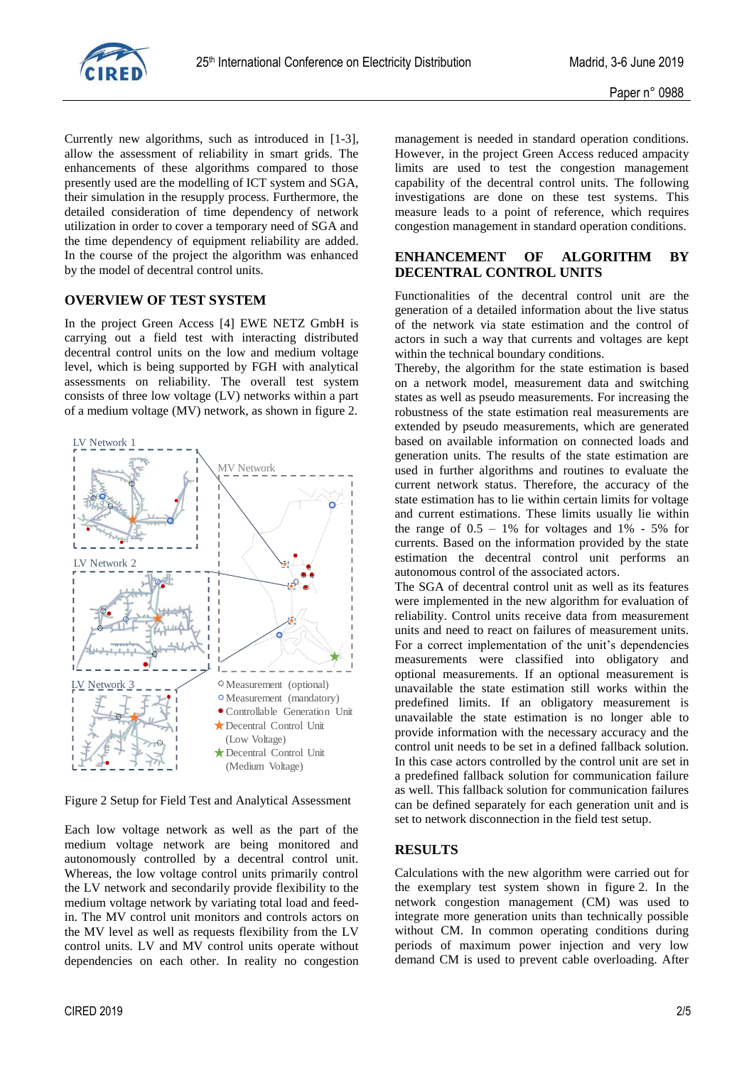

Currently new algorithms, such as introduced in [1-3], allow the assessment of reliability in smart grids. The enhancements of these algorithms compared to those presently used are the modelling of ICT system and SGA, their simulation in the resupply process. Furthermore, the detailed consideration of time dependency of network utilization in order to cover a temporary need of SGA and the time dependency of equipment reliability are added. In the course of the project the algorithm was enhanced by the model of decentral control units.

## **OVERVIEW OF TEST SYSTEM**

In the project Green Access [4] EWE NETZ GmbH is carrying out a field test with interacting distributed decentral control units on the low and medium voltage level, which is being supported by FGH with analytical assessments on reliability. The overall test system consists of three low voltage (LV) networks within a part of a medium voltage (MV) network, as shown in figure 2.



Figure 2 Setup for Field Test and Analytical Assessment

Each low voltage network as well as the part of the medium voltage network are being monitored and autonomously controlled by a decentral control unit. Whereas, the low voltage control units primarily control the LV network and secondarily provide flexibility to the medium voltage network by variating total load and feedin. The MV control unit monitors and controls actors on the MV level as well as requests flexibility from the LV control units. LV and MV control units operate without dependencies on each other. In reality no congestion management is needed in standard operation conditions. However, in the project Green Access reduced ampacity limits are used to test the congestion management capability of the decentral control units. The following investigations are done on these test systems. This measure leads to a point of reference, which requires congestion management in standard operation conditions.

## **ENHANCEMENT OF ALGORITHM BY DECENTRAL CONTROL UNITS**

Functionalities of the decentral control unit are the generation of a detailed information about the live status of the network via state estimation and the control of actors in such a way that currents and voltages are kept within the technical boundary conditions.

Thereby, the algorithm for the state estimation is based on a network model, measurement data and switching states as well as pseudo measurements. For increasing the robustness of the state estimation real measurements are extended by pseudo measurements, which are generated based on available information on connected loads and generation units. The results of the state estimation are used in further algorithms and routines to evaluate the current network status. Therefore, the accuracy of the state estimation has to lie within certain limits for voltage and current estimations. These limits usually lie within the range of  $0.5 - 1\%$  for voltages and  $1\% - 5\%$  for currents. Based on the information provided by the state estimation the decentral control unit performs an autonomous control of the associated actors.

The SGA of decentral control unit as well as its features were implemented in the new algorithm for evaluation of reliability. Control units receive data from measurement units and need to react on failures of measurement units. For a correct implementation of the unit's dependencies measurements were classified into obligatory and optional measurements. If an optional measurement is unavailable the state estimation still works within the predefined limits. If an obligatory measurement is unavailable the state estimation is no longer able to provide information with the necessary accuracy and the control unit needs to be set in a defined fallback solution. In this case actors controlled by the control unit are set in a predefined fallback solution for communication failure as well. This fallback solution for communication failures can be defined separately for each generation unit and is set to network disconnection in the field test setup.

### **RESULTS**

Calculations with the new algorithm were carried out for the exemplary test system shown in figure 2. In the network congestion management (CM) was used to integrate more generation units than technically possible without CM. In common operating conditions during periods of maximum power injection and very low demand CM is used to prevent cable overloading. After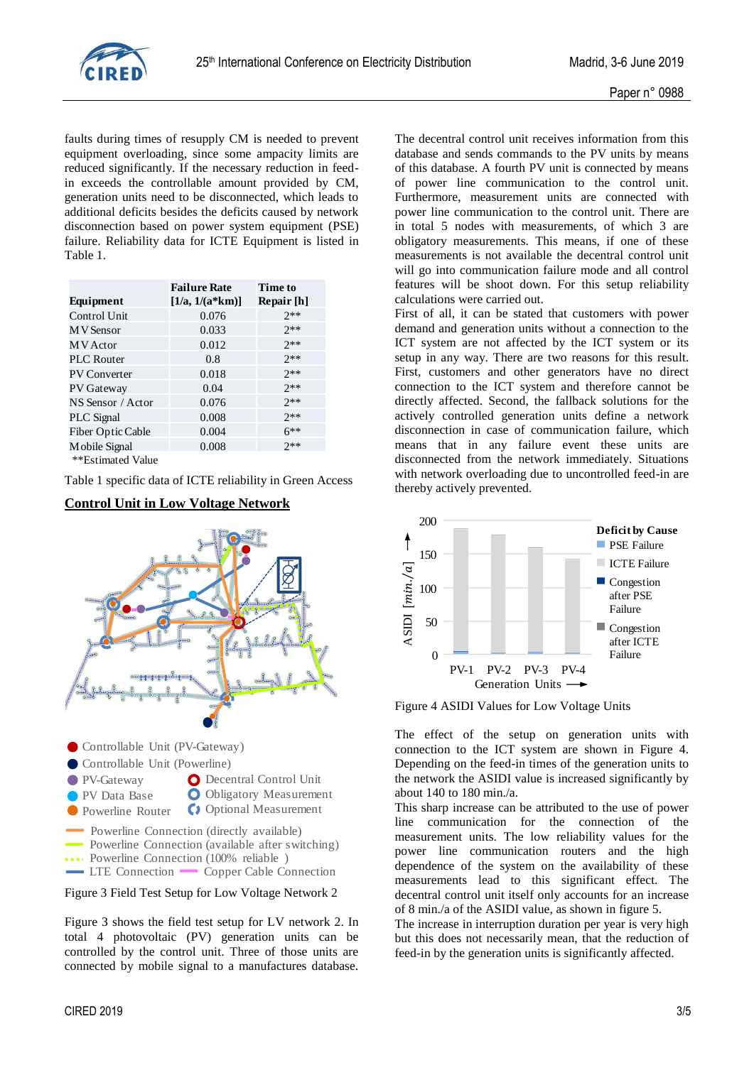

faults during times of resupply CM is needed to prevent equipment overloading, since some ampacity limits are reduced significantly. If the necessary reduction in feedin exceeds the controllable amount provided by CM, generation units need to be disconnected, which leads to additional deficits besides the deficits caused by network disconnection based on power system equipment (PSE) failure. Reliability data for ICTE Equipment is listed in Table 1.

|                     | <b>Failure Rate</b> | Time to    |
|---------------------|---------------------|------------|
| Equipment           | $[1/a, 1/(a*km)]$   | Repair [h] |
| Control Unit        | 0.076               | $2**$      |
| <b>MV</b> Sensor    | 0.033               | $7**$      |
| M V Actor           | 0.012               | $7**$      |
| <b>PLC</b> Router   | 0.8                 | $7**$      |
| <b>PV Converter</b> | 0.018               | $7**$      |
| <b>PV</b> Gateway   | 0.04                | $7**$      |
| NS Sensor / Actor   | 0.076               | $7**$      |
| <b>PLC</b> Signal   | 0.008               | $7**$      |
| Fiber Optic Cable   | 0.004               | $6***$     |
| Mobile Signal       | 0.008               | $7**$      |
|                     |                     |            |

\*\*Estimated Value

Table 1 specific data of ICTE reliability in Green Access



#### **Control Unit in Low Voltage Network**

Figure 3 Field Test Setup for Low Voltage Network 2

Figure 3 shows the field test setup for LV network 2. In total 4 photovoltaic (PV) generation units can be controlled by the control unit. Three of those units are connected by mobile signal to a manufactures database.

The decentral control unit receives information from this database and sends commands to the PV units by means of this database. A fourth PV unit is connected by means of power line communication to the control unit. Furthermore, measurement units are connected with power line communication to the control unit. There are in total 5 nodes with measurements, of which 3 are obligatory measurements. This means, if one of these measurements is not available the decentral control unit will go into communication failure mode and all control features will be shoot down. For this setup reliability calculations were carried out.

First of all, it can be stated that customers with power demand and generation units without a connection to the ICT system are not affected by the ICT system or its setup in any way. There are two reasons for this result. First, customers and other generators have no direct connection to the ICT system and therefore cannot be directly affected. Second, the fallback solutions for the actively controlled generation units define a network disconnection in case of communication failure, which means that in any failure event these units are disconnected from the network immediately. Situations with network overloading due to uncontrolled feed-in are thereby actively prevented.



Figure 4 ASIDI Values for Low Voltage Units

The effect of the setup on generation units with connection to the ICT system are shown in Figure 4. Depending on the feed-in times of the generation units to the network the ASIDI value is increased significantly by about 140 to 180 min./a.

This sharp increase can be attributed to the use of power line communication for the connection of the measurement units. The low reliability values for the power line communication routers and the high dependence of the system on the availability of these measurements lead to this significant effect. The decentral control unit itself only accounts for an increase of 8 min./a of the ASIDI value, as shown in figure 5.

The increase in interruption duration per year is very high but this does not necessarily mean, that the reduction of feed-in by the generation units is significantly affected.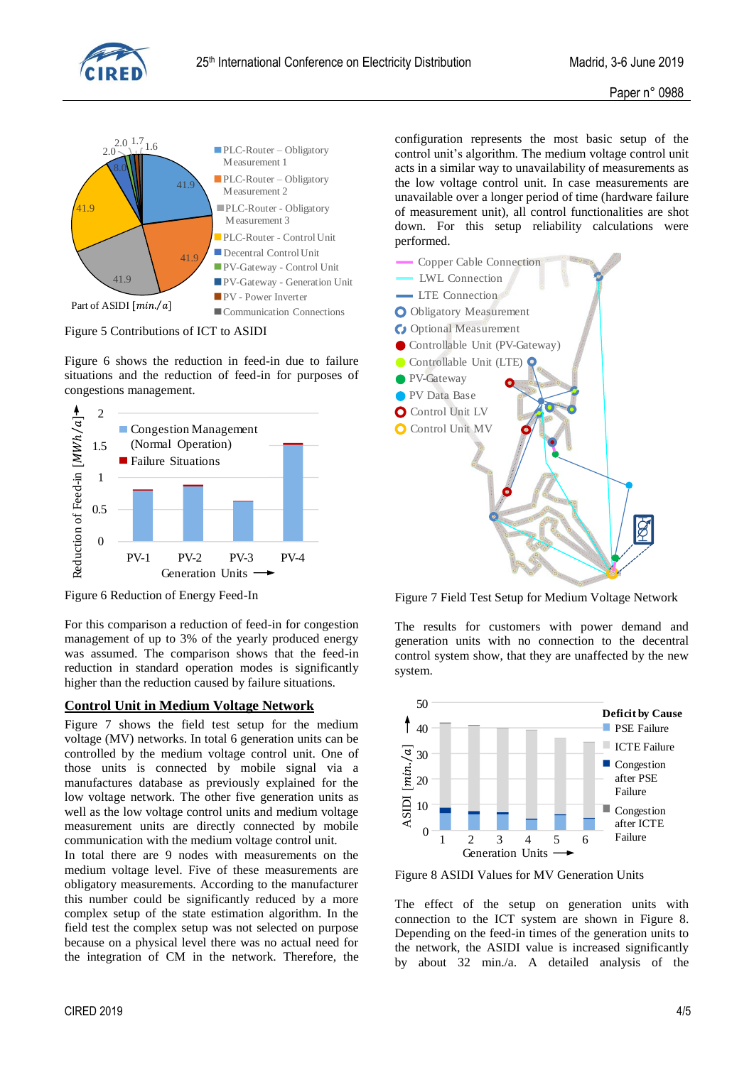



Figure 5 Contributions of ICT to ASIDI

Figure 6 shows the reduction in feed-in due to failure situations and the reduction of feed-in for purposes of congestions management.



Figure 6 Reduction of Energy Feed-In

For this comparison a reduction of feed-in for congestion management of up to 3% of the yearly produced energy was assumed. The comparison shows that the feed-in reduction in standard operation modes is significantly higher than the reduction caused by failure situations.

# **Control Unit in Medium Voltage Network**

Figure 7 shows the field test setup for the medium voltage (MV) networks. In total 6 generation units can be controlled by the medium voltage control unit. One of those units is connected by mobile signal via a manufactures database as previously explained for the low voltage network. The other five generation units as well as the low voltage control units and medium voltage measurement units are directly connected by mobile communication with the medium voltage control unit.

In total there are 9 nodes with measurements on the medium voltage level. Five of these measurements are obligatory measurements. According to the manufacturer this number could be significantly reduced by a more complex setup of the state estimation algorithm. In the field test the complex setup was not selected on purpose because on a physical level there was no actual need for the integration of CM in the network. Therefore, the

configuration represents the most basic setup of the control unit's algorithm. The medium voltage control unit acts in a similar way to unavailability of measurements as the low voltage control unit. In case measurements are unavailable over a longer period of time (hardware failure of measurement unit), all control functionalities are shot down. For this setup reliability calculations were performed.



Figure 7 Field Test Setup for Medium Voltage Network

The results for customers with power demand and generation units with no connection to the decentral control system show, that they are unaffected by the new system.



Figure 8 ASIDI Values for MV Generation Units

The effect of the setup on generation units with connection to the ICT system are shown in Figure 8. Depending on the feed-in times of the generation units to the network, the ASIDI value is increased significantly by about 32 min./a. A detailed analysis of the